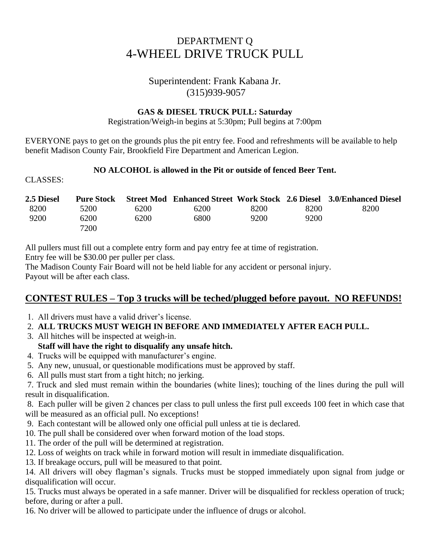# DEPARTMENT Q 4-WHEEL DRIVE TRUCK PULL

### Superintendent: Frank Kabana Jr. (315)939-9057

#### **GAS & DIESEL TRUCK PULL: Saturday**

Registration/Weigh-in begins at 5:30pm; Pull begins at 7:00pm

EVERYONE pays to get on the grounds plus the pit entry fee. Food and refreshments will be available to help benefit Madison County Fair, Brookfield Fire Department and American Legion.

#### **NO ALCOHOL is allowed in the Pit or outside of fenced Beer Tent.**

CLASSES:

| 2.5 Diesel | <b>Pure Stock</b> |      |      |      |      | Street Mod Enhanced Street Work Stock 2.6 Diesel 3.0/Enhanced Diesel |
|------------|-------------------|------|------|------|------|----------------------------------------------------------------------|
| 8200       | 5200              | 6200 | 6200 | 8200 | 8200 | 8200                                                                 |
| 9200       | 6200              | 6200 | 6800 | 9200 | 9200 |                                                                      |
|            | 7200              |      |      |      |      |                                                                      |

All pullers must fill out a complete entry form and pay entry fee at time of registration.

Entry fee will be \$30.00 per puller per class.

The Madison County Fair Board will not be held liable for any accident or personal injury. Payout will be after each class.

## **CONTEST RULES – Top 3 trucks will be teched/plugged before payout. NO REFUNDS!**

- 1. All drivers must have a valid driver's license.
- 2. **ALL TRUCKS MUST WEIGH IN BEFORE AND IMMEDIATELY AFTER EACH PULL.**
- 3. All hitches will be inspected at weigh-in.
- **Staff will have the right to disqualify any unsafe hitch.**
- 4. Trucks will be equipped with manufacturer's engine.
- 5. Any new, unusual, or questionable modifications must be approved by staff.
- 6. All pulls must start from a tight hitch; no jerking.

7. Truck and sled must remain within the boundaries (white lines); touching of the lines during the pull will result in disqualification.

8. Each puller will be given 2 chances per class to pull unless the first pull exceeds 100 feet in which case that will be measured as an official pull. No exceptions!

- 9. Each contestant will be allowed only one official pull unless at tie is declared.
- 10. The pull shall be considered over when forward motion of the load stops.
- 11. The order of the pull will be determined at registration.
- 12. Loss of weights on track while in forward motion will result in immediate disqualification.

13. If breakage occurs, pull will be measured to that point.

14. All drivers will obey flagman's signals. Trucks must be stopped immediately upon signal from judge or disqualification will occur.

15. Trucks must always be operated in a safe manner. Driver will be disqualified for reckless operation of truck; before, during or after a pull.

16. No driver will be allowed to participate under the influence of drugs or alcohol.